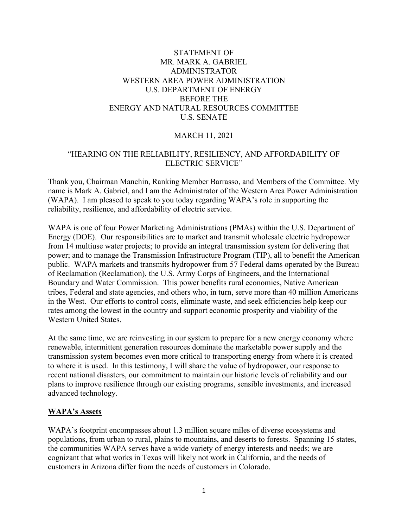# STATEMENT OF MR. MARK A. GABRIEL ADMINISTRATOR WESTERN AREA POWER ADMINISTRATION U.S. DEPARTMENT OF ENERGY BEFORE THE ENERGY AND NATURAL RESOURCES COMMITTEE U.S. SENATE

# MARCH 11, 2021

## "HEARING ON THE RELIABILITY, RESILIENCY, AND AFFORDABILITY OF ELECTRIC SERVICE"

Thank you, Chairman Manchin, Ranking Member Barrasso, and Members of the Committee. My name is Mark A. Gabriel, and I am the Administrator of the Western Area Power Administration (WAPA). I am pleased to speak to you today regarding WAPA's role in supporting the reliability, resilience, and affordability of electric service.

WAPA is one of four Power Marketing Administrations (PMAs) within the U.S. Department of Energy (DOE). Our responsibilities are to market and transmit wholesale electric hydropower from 14 multiuse water projects; to provide an integral transmission system for delivering that power; and to manage the Transmission Infrastructure Program (TIP), all to benefit the American public. WAPA markets and transmits hydropower from 57 Federal dams operated by the Bureau of Reclamation (Reclamation), the U.S. Army Corps of Engineers, and the International Boundary and Water Commission. This power benefits rural economies, Native American tribes, Federal and state agencies, and others who, in turn, serve more than 40 million Americans in the West. Our efforts to control costs, eliminate waste, and seek efficiencies help keep our rates among the lowest in the country and support economic prosperity and viability of the Western United States.

At the same time, we are reinvesting in our system to prepare for a new energy economy where renewable, intermittent generation resources dominate the marketable power supply and the transmission system becomes even more critical to transporting energy from where it is created to where it is used. In this testimony, I will share the value of hydropower, our response to recent national disasters, our commitment to maintain our historic levels of reliability and our plans to improve resilience through our existing programs, sensible investments, and increased advanced technology.

#### **WAPA's Assets**

WAPA's footprint encompasses about 1.3 million square miles of diverse ecosystems and populations, from urban to rural, plains to mountains, and deserts to forests. Spanning 15 states, the communities WAPA serves have a wide variety of energy interests and needs; we are cognizant that what works in Texas will likely not work in California, and the needs of customers in Arizona differ from the needs of customers in Colorado.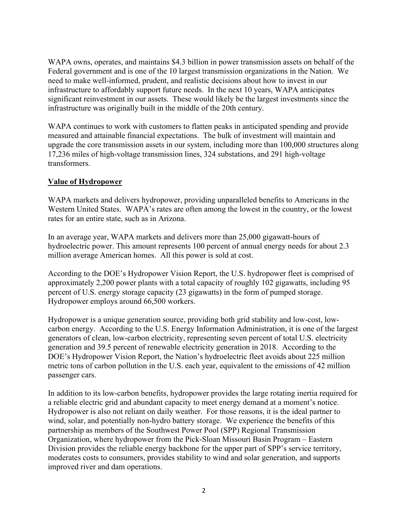WAPA owns, operates, and maintains \$4.3 billion in power transmission assets on behalf of the Federal government and is one of the 10 largest transmission organizations in the Nation. We need to make well-informed, prudent, and realistic decisions about how to invest in our infrastructure to affordably support future needs. In the next 10 years, WAPA anticipates significant reinvestment in our assets. These would likely be the largest investments since the infrastructure was originally built in the middle of the 20th century.

WAPA continues to work with customers to flatten peaks in anticipated spending and provide measured and attainable financial expectations. The bulk of investment will maintain and upgrade the core transmission assets in our system, including more than 100,000 structures along 17,236 miles of high-voltage transmission lines, 324 substations, and 291 high-voltage transformers.

## **Value of Hydropower**

WAPA markets and delivers hydropower, providing unparalleled benefits to Americans in the Western United States. WAPA's rates are often among the lowest in the country, or the lowest rates for an entire state, such as in Arizona.

In an average year, WAPA markets and delivers more than 25,000 gigawatt-hours of hydroelectric power. This amount represents 100 percent of annual energy needs for about 2.3 million average American homes. All this power is sold at cost.

According to the DOE's Hydropower Vision Report, the U.S. hydropower fleet is comprised of approximately 2,200 power plants with a total capacity of roughly 102 gigawatts, including 95 percent of U.S. energy storage capacity (23 gigawatts) in the form of pumped storage. Hydropower employs around 66,500 workers.

Hydropower is a unique generation source, providing both grid stability and low-cost, lowcarbon energy. According to the U.S. Energy Information Administration, it is one of the largest generators of clean, low-carbon electricity, representing seven percent of total U.S. electricity generation and 39.5 percent of renewable electricity generation in 2018. According to the DOE's Hydropower Vision Report, the Nation's hydroelectric fleet avoids about 225 million metric tons of carbon pollution in the U.S. each year, equivalent to the emissions of 42 million passenger cars.

In addition to its low-carbon benefits, hydropower provides the large rotating inertia required for a reliable electric grid and abundant capacity to meet energy demand at a moment's notice. Hydropower is also not reliant on daily weather. For those reasons, it is the ideal partner to wind, solar, and potentially non-hydro battery storage. We experience the benefits of this partnership as members of the Southwest Power Pool (SPP) Regional Transmission Organization, where hydropower from the Pick-Sloan Missouri Basin Program – Eastern Division provides the reliable energy backbone for the upper part of SPP's service territory, moderates costs to consumers, provides stability to wind and solar generation, and supports improved river and dam operations.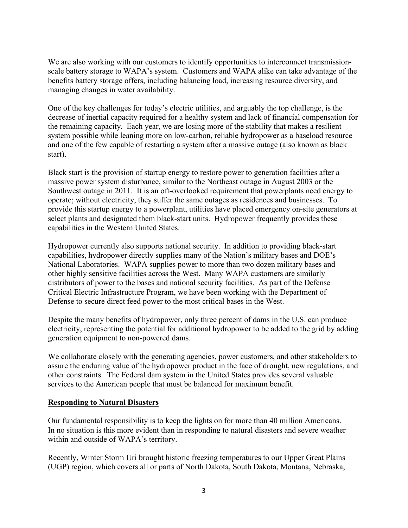We are also working with our customers to identify opportunities to interconnect transmissionscale battery storage to WAPA's system. Customers and WAPA alike can take advantage of the benefits battery storage offers, including balancing load, increasing resource diversity, and managing changes in water availability.

One of the key challenges for today's electric utilities, and arguably the top challenge, is the decrease of inertial capacity required for a healthy system and lack of financial compensation for the remaining capacity. Each year, we are losing more of the stability that makes a resilient system possible while leaning more on low-carbon, reliable hydropower as a baseload resource and one of the few capable of restarting a system after a massive outage (also known as black start).

Black start is the provision of startup energy to restore power to generation facilities after a massive power system disturbance, similar to the Northeast outage in August 2003 or the Southwest outage in 2011. It is an oft-overlooked requirement that powerplants need energy to operate; without electricity, they suffer the same outages as residences and businesses. To provide this startup energy to a powerplant, utilities have placed emergency on-site generators at select plants and designated them black-start units. Hydropower frequently provides these capabilities in the Western United States.

Hydropower currently also supports national security. In addition to providing black-start capabilities, hydropower directly supplies many of the Nation's military bases and DOE's National Laboratories. WAPA supplies power to more than two dozen military bases and other highly sensitive facilities across the West. Many WAPA customers are similarly distributors of power to the bases and national security facilities. As part of the Defense Critical Electric Infrastructure Program, we have been working with the Department of Defense to secure direct feed power to the most critical bases in the West.

Despite the many benefits of hydropower, only three percent of dams in the U.S. can produce electricity, representing the potential for additional hydropower to be added to the grid by adding generation equipment to non-powered dams.

We collaborate closely with the generating agencies, power customers, and other stakeholders to assure the enduring value of the hydropower product in the face of drought, new regulations, and other constraints. The Federal dam system in the United States provides several valuable services to the American people that must be balanced for maximum benefit.

### **Responding to Natural Disasters**

Our fundamental responsibility is to keep the lights on for more than 40 million Americans. In no situation is this more evident than in responding to natural disasters and severe weather within and outside of WAPA's territory.

Recently, Winter Storm Uri brought historic freezing temperatures to our Upper Great Plains (UGP) region, which covers all or parts of North Dakota, South Dakota, Montana, Nebraska,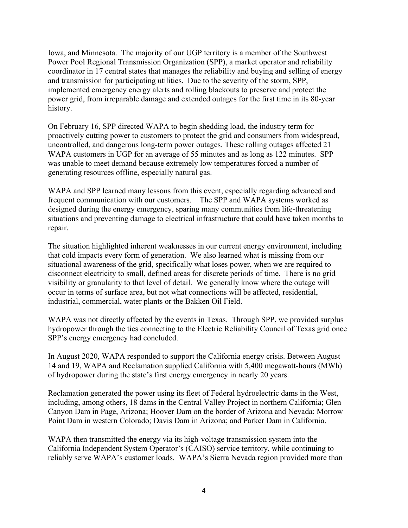Iowa, and Minnesota. The majority of our UGP territory is a member of the Southwest Power Pool Regional Transmission Organization (SPP), a market operator and reliability coordinator in 17 central states that manages the reliability and buying and selling of energy and transmission for participating utilities. Due to the severity of the storm, SPP, implemented emergency energy alerts and rolling blackouts to preserve and protect the power grid, from irreparable damage and extended outages for the first time in its 80-year history.

On February 16, SPP directed WAPA to begin shedding load, the industry term for proactively cutting power to customers to protect the grid and consumers from widespread, uncontrolled, and dangerous long-term power outages. These rolling outages affected 21 WAPA customers in UGP for an average of 55 minutes and as long as 122 minutes. SPP was unable to meet demand because extremely low temperatures forced a number of generating resources offline, especially natural gas.

WAPA and SPP learned many lessons from this event, especially regarding advanced and frequent communication with our customers. The SPP and WAPA systems worked as designed during the energy emergency, sparing many communities from life-threatening situations and preventing damage to electrical infrastructure that could have taken months to repair.

The situation highlighted inherent weaknesses in our current energy environment, including that cold impacts every form of generation. We also learned what is missing from our situational awareness of the grid, specifically what loses power, when we are required to disconnect electricity to small, defined areas for discrete periods of time. There is no grid visibility or granularity to that level of detail. We generally know where the outage will occur in terms of surface area, but not what connections will be affected, residential, industrial, commercial, water plants or the Bakken Oil Field.

WAPA was not directly affected by the events in Texas. Through SPP, we provided surplus hydropower through the ties connecting to the Electric Reliability Council of Texas grid once SPP's energy emergency had concluded.

In August 2020, WAPA responded to support the California energy crisis. Between August 14 and 19, WAPA and Reclamation supplied California with 5,400 megawatt-hours (MWh) of hydropower during the state's first energy emergency in nearly 20 years.

Reclamation generated the power using its fleet of Federal hydroelectric dams in the West, including, among others, 18 dams in the Central Valley Project in northern California; Glen Canyon Dam in Page, Arizona; Hoover Dam on the border of Arizona and Nevada; Morrow Point Dam in western Colorado; Davis Dam in Arizona; and Parker Dam in California.

WAPA then transmitted the energy via its high-voltage transmission system into the California Independent System Operator's (CAISO) service territory, while continuing to reliably serve WAPA's customer loads. WAPA's Sierra Nevada region provided more than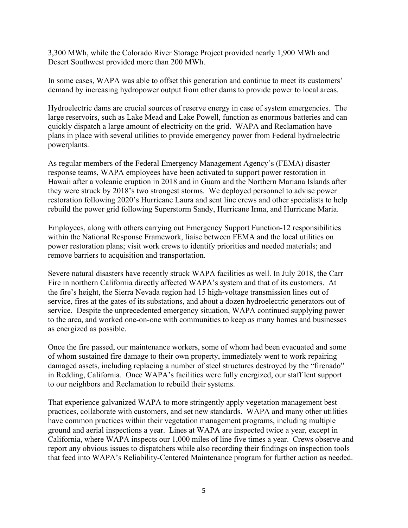3,300 MWh, while the Colorado River Storage Project provided nearly 1,900 MWh and Desert Southwest provided more than 200 MWh.

In some cases, WAPA was able to offset this generation and continue to meet its customers' demand by increasing hydropower output from other dams to provide power to local areas.

Hydroelectric dams are crucial sources of reserve energy in case of system emergencies. The large reservoirs, such as Lake Mead and Lake Powell, function as enormous batteries and can quickly dispatch a large amount of electricity on the grid. WAPA and Reclamation have plans in place with several utilities to provide emergency power from Federal hydroelectric powerplants.

As regular members of the Federal Emergency Management Agency's (FEMA) disaster response teams, WAPA employees have been activated to support power restoration in Hawaii after a volcanic eruption in 2018 and in Guam and the Northern Mariana Islands after they were struck by 2018's two strongest storms. We deployed personnel to advise power restoration following 2020's Hurricane Laura and sent line crews and other specialists to help rebuild the power grid following Superstorm Sandy, Hurricane Irma, and Hurricane Maria.

Employees, along with others carrying out Emergency Support Function-12 responsibilities within the National Response Framework, liaise between FEMA and the local utilities on power restoration plans; visit work crews to identify priorities and needed materials; and remove barriers to acquisition and transportation.

Severe natural disasters have recently struck WAPA facilities as well. In July 2018, the Carr Fire in northern California directly affected WAPA's system and that of its customers. At the fire's height, the Sierra Nevada region had 15 high-voltage transmission lines out of service, fires at the gates of its substations, and about a dozen hydroelectric generators out of service. Despite the unprecedented emergency situation, WAPA continued supplying power to the area, and worked one-on-one with communities to keep as many homes and businesses as energized as possible.

Once the fire passed, our maintenance workers, some of whom had been evacuated and some of whom sustained fire damage to their own property, immediately went to work repairing damaged assets, including replacing a number of steel structures destroyed by the "firenado" in Redding, California. Once WAPA's facilities were fully energized, our staff lent support to our neighbors and Reclamation to rebuild their systems.

That experience galvanized WAPA to more stringently apply vegetation management best practices, collaborate with customers, and set new standards. WAPA and many other utilities have common practices within their vegetation management programs, including multiple ground and aerial inspections a year. Lines at WAPA are inspected twice a year, except in California, where WAPA inspects our 1,000 miles of line five times a year. Crews observe and report any obvious issues to dispatchers while also recording their findings on inspection tools that feed into WAPA's Reliability-Centered Maintenance program for further action as needed.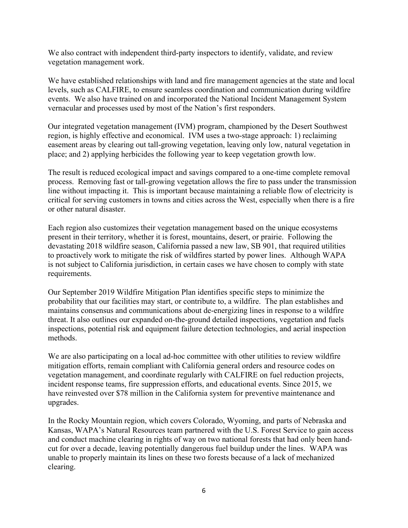We also contract with independent third-party inspectors to identify, validate, and review vegetation management work.

We have established relationships with land and fire management agencies at the state and local levels, such as CALFIRE, to ensure seamless coordination and communication during wildfire events. We also have trained on and incorporated the National Incident Management System vernacular and processes used by most of the Nation's first responders.

Our integrated vegetation management (IVM) program, championed by the Desert Southwest region, is highly effective and economical. IVM uses a two-stage approach: 1) reclaiming easement areas by clearing out tall-growing vegetation, leaving only low, natural vegetation in place; and 2) applying herbicides the following year to keep vegetation growth low.

The result is reduced ecological impact and savings compared to a one-time complete removal process. Removing fast or tall-growing vegetation allows the fire to pass under the transmission line without impacting it. This is important because maintaining a reliable flow of electricity is critical for serving customers in towns and cities across the West, especially when there is a fire or other natural disaster.

Each region also customizes their vegetation management based on the unique ecosystems present in their territory, whether it is forest, mountains, desert, or prairie. Following the devastating 2018 wildfire season, California passed a new law, SB 901, that required utilities to proactively work to mitigate the risk of wildfires started by power lines. Although WAPA is not subject to California jurisdiction, in certain cases we have chosen to comply with state requirements.

Our September 2019 Wildfire Mitigation Plan identifies specific steps to minimize the probability that our facilities may start, or contribute to, a wildfire. The plan establishes and maintains consensus and communications about de-energizing lines in response to a wildfire threat. It also outlines our expanded on-the-ground detailed inspections, vegetation and fuels inspections, potential risk and equipment failure detection technologies, and aerial inspection methods.

We are also participating on a local ad-hoc committee with other utilities to review wildfire mitigation efforts, remain compliant with California general orders and resource codes on vegetation management, and coordinate regularly with CALFIRE on fuel reduction projects, incident response teams, fire suppression efforts, and educational events. Since 2015, we have reinvested over \$78 million in the California system for preventive maintenance and upgrades.

In the Rocky Mountain region, which covers Colorado, Wyoming, and parts of Nebraska and Kansas, WAPA's Natural Resources team partnered with the U.S. Forest Service to gain access and conduct machine clearing in rights of way on two national forests that had only been handcut for over a decade, leaving potentially dangerous fuel buildup under the lines. WAPA was unable to properly maintain its lines on these two forests because of a lack of mechanized clearing.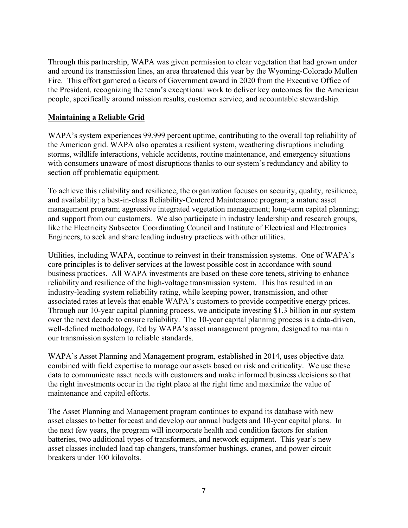Through this partnership, WAPA was given permission to clear vegetation that had grown under and around its transmission lines, an area threatened this year by the Wyoming-Colorado Mullen Fire. This effort garnered a Gears of Government award in 2020 from the Executive Office of the President, recognizing the team's exceptional work to deliver key outcomes for the American people, specifically around mission results, customer service, and accountable stewardship.

# **Maintaining a Reliable Grid**

WAPA's system experiences 99.999 percent uptime, contributing to the overall top reliability of the American grid. WAPA also operates a resilient system, weathering disruptions including storms, wildlife interactions, vehicle accidents, routine maintenance, and emergency situations with consumers unaware of most disruptions thanks to our system's redundancy and ability to section off problematic equipment.

To achieve this reliability and resilience, the organization focuses on security, quality, resilience, and availability; a best-in-class Reliability-Centered Maintenance program; a mature asset management program; aggressive integrated vegetation management; long-term capital planning; and support from our customers. We also participate in industry leadership and research groups, like the Electricity Subsector Coordinating Council and Institute of Electrical and Electronics Engineers, to seek and share leading industry practices with other utilities.

Utilities, including WAPA, continue to reinvest in their transmission systems. One of WAPA's core principles is to deliver services at the lowest possible cost in accordance with sound business practices. All WAPA investments are based on these core tenets, striving to enhance reliability and resilience of the high-voltage transmission system. This has resulted in an industry-leading system reliability rating, while keeping power, transmission, and other associated rates at levels that enable WAPA's customers to provide competitive energy prices. Through our 10-year capital planning process, we anticipate investing \$1.3 billion in our system over the next decade to ensure reliability. The 10-year capital planning process is a data-driven, well-defined methodology, fed by WAPA's asset management program, designed to maintain our transmission system to reliable standards.

WAPA's Asset Planning and Management program, established in 2014, uses objective data combined with field expertise to manage our assets based on risk and criticality. We use these data to communicate asset needs with customers and make informed business decisions so that the right investments occur in the right place at the right time and maximize the value of maintenance and capital efforts.

The Asset Planning and Management program continues to expand its database with new asset classes to better forecast and develop our annual budgets and 10-year capital plans. In the next few years, the program will incorporate health and condition factors for station batteries, two additional types of transformers, and network equipment. This year's new asset classes included load tap changers, transformer bushings, cranes, and power circuit breakers under 100 kilovolts.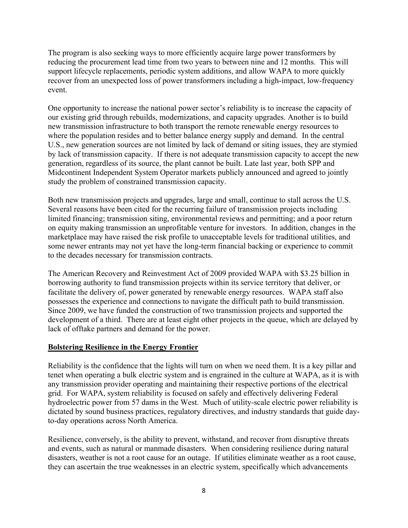The program is also seeking ways to more efficiently acquire large power transformers by reducing the procurement lead time from two years to between nine and 12 months. This will support lifecycle replacements, periodic system additions, and allow WAPA to more quickly recover from an unexpected loss of power transformers including a high-impact, low-frequency event.

One opportunity to increase the national power sector's reliability is to increase the capacity of our existing grid through rebuilds, modernizations, and capacity upgrades. Another is to build new transmission infrastructure to both transport the remote renewable energy resources to where the population resides and to better balance energy supply and demand. In the central U.S., new generation sources are not limited by lack of demand or siting issues, they are stymied by lack of transmission capacity. If there is not adequate transmission capacity to accept the new generation, regardless of its source, the plant cannot be built. Late last year, both SPP and Midcontinent Independent System Operator markets publicly announced and agreed to jointly study the problem of constrained transmission capacity.

Both new transmission projects and upgrades, large and small, continue to stall across the U.S. Several reasons have been cited for the recurring failure of transmission projects including limited financing; transmission siting, environmental reviews and permitting; and a poor return on equity making transmission an unprofitable venture for investors. In addition, changes in the marketplace may have raised the risk profile to unacceptable levels for traditional utilities, and some newer entrants may not yet have the long-term financial backing or experience to commit to the decades necessary for transmission contracts.

The American Recovery and Reinvestment Act of 2009 provided WAPA with \$3.25 billion in borrowing authority to fund transmission projects within its service territory that deliver, or facilitate the delivery of, power generated by renewable energy resources. WAPA staff also possesses the experience and connections to navigate the difficult path to build transmission. Since 2009, we have funded the construction of two transmission projects and supported the development of a third. There are at least eight other projects in the queue, which are delayed by lack of offtake partners and demand for the power.

### **Bolstering Resilience in the Energy Frontier**

Reliability is the confidence that the lights will turn on when we need them. It is a key pillar and tenet when operating a bulk electric system and is engrained in the culture at WAPA, as it is with any transmission provider operating and maintaining their respective portions of the electrical grid. For WAPA, system reliability is focused on safely and effectively delivering Federal hydroelectric power from 57 dams in the West. Much of utility-scale electric power reliability is dictated by sound business practices, regulatory directives, and industry standards that guide dayto-day operations across North America.

Resilience, conversely, is the ability to prevent, withstand, and recover from disruptive threats and events, such as natural or manmade disasters. When considering resilience during natural disasters, weather is not a root cause for an outage. If utilities eliminate weather as a root cause, they can ascertain the true weaknesses in an electric system, specifically which advancements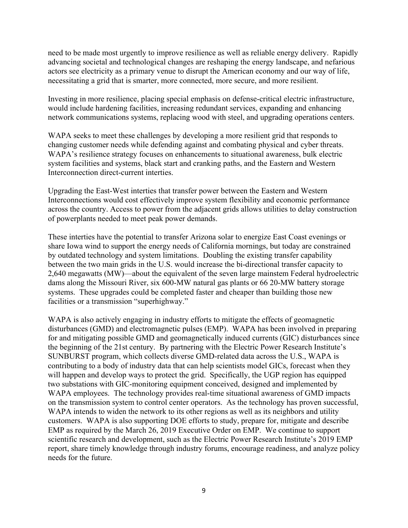need to be made most urgently to improve resilience as well as reliable energy delivery. Rapidly advancing societal and technological changes are reshaping the energy landscape, and nefarious actors see electricity as a primary venue to disrupt the American economy and our way of life, necessitating a grid that is smarter, more connected, more secure, and more resilient.

Investing in more resilience, placing special emphasis on defense-critical electric infrastructure, would include hardening facilities, increasing redundant services, expanding and enhancing network communications systems, replacing wood with steel, and upgrading operations centers.

WAPA seeks to meet these challenges by developing a more resilient grid that responds to changing customer needs while defending against and combating physical and cyber threats. WAPA's resilience strategy focuses on enhancements to situational awareness, bulk electric system facilities and systems, black start and cranking paths, and the Eastern and Western Interconnection direct-current interties.

Upgrading the East-West interties that transfer power between the Eastern and Western Interconnections would cost effectively improve system flexibility and economic performance across the country. Access to power from the adjacent grids allows utilities to delay construction of powerplants needed to meet peak power demands.

These interties have the potential to transfer Arizona solar to energize East Coast evenings or share Iowa wind to support the energy needs of California mornings, but today are constrained by outdated technology and system limitations. Doubling the existing transfer capability between the two main grids in the U.S. would increase the bi-directional transfer capacity to 2,640 megawatts (MW)—about the equivalent of the seven large mainstem Federal hydroelectric dams along the Missouri River, six 600-MW natural gas plants or 66 20-MW battery storage systems. These upgrades could be completed faster and cheaper than building those new facilities or a transmission "superhighway."

WAPA is also actively engaging in industry efforts to mitigate the effects of geomagnetic disturbances (GMD) and electromagnetic pulses (EMP). WAPA has been involved in preparing for and mitigating possible GMD and geomagnetically induced currents (GIC) disturbances since the beginning of the 21st century. By partnering with the Electric Power Research Institute's SUNBURST program, which collects diverse GMD-related data across the U.S., WAPA is contributing to a body of industry data that can help scientists model GICs, forecast when they will happen and develop ways to protect the grid. Specifically, the UGP region has equipped two substations with GIC-monitoring equipment conceived, designed and implemented by WAPA employees. The technology provides real-time situational awareness of GMD impacts on the transmission system to control center operators. As the technology has proven successful, WAPA intends to widen the network to its other regions as well as its neighbors and utility customers. WAPA is also supporting DOE efforts to study, prepare for, mitigate and describe EMP as required by the March 26, 2019 Executive Order on EMP. We continue to support scientific research and development, such as the Electric Power Research Institute's 2019 EMP report, share timely knowledge through industry forums, encourage readiness, and analyze policy needs for the future.